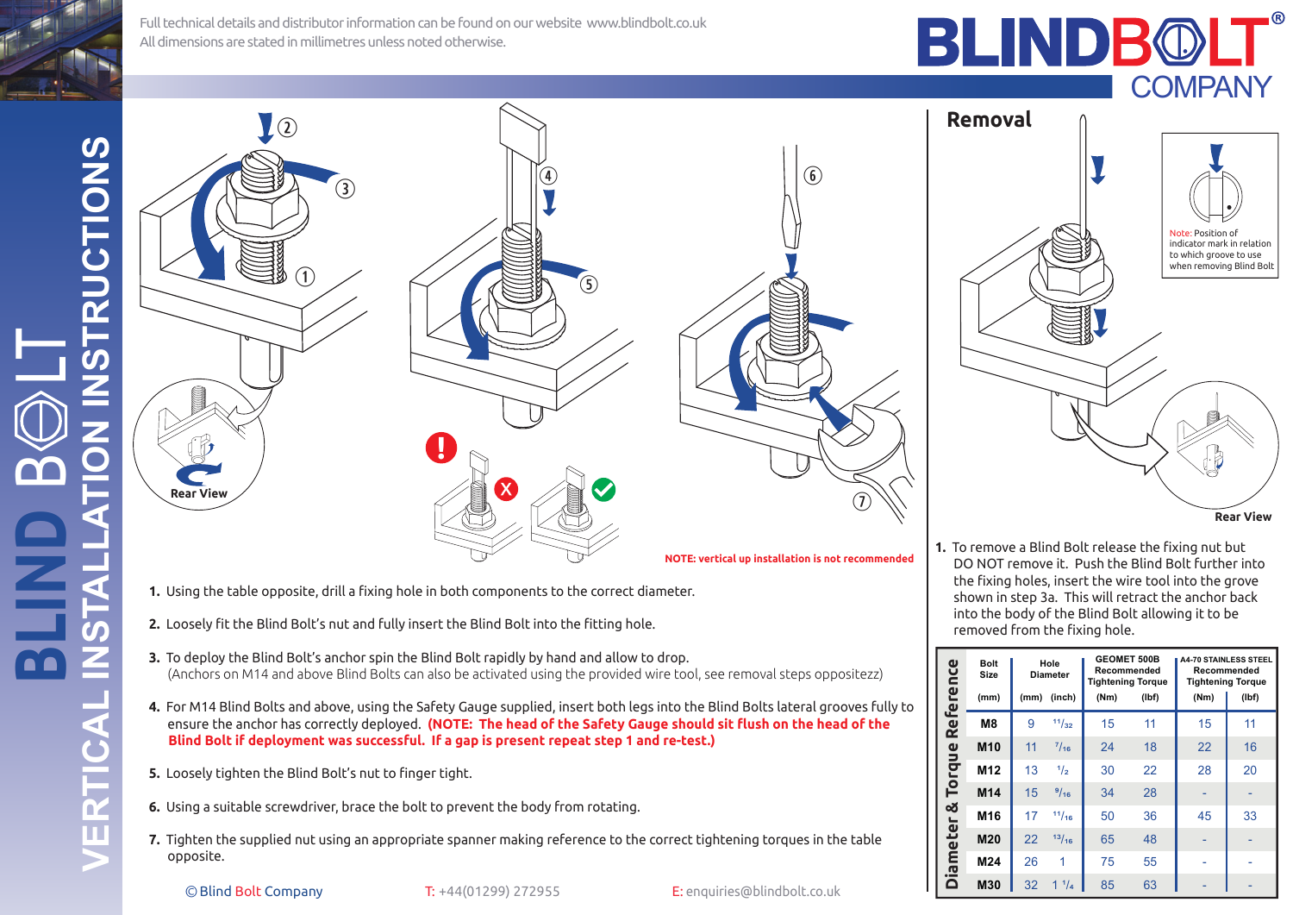**FRUCTIONS VERTICAL INSTALLATION INSTRUCTIONS BLIND** B LT  $\boldsymbol{\dot{G}}$ Ĕ **STAL** 80 VERTICA

Full technical details and distributor information can be found on our website www.blindbolt.co.ukAll dimensions are stated in millimetres unless noted otherwise.

BLINDB®

**Removal**



- **1.** Using the table opposite, drill a fixing hole in both components to the correct diameter.
- **2.** Loosely fit the Blind Bolt's nut and fully insert the Blind Bolt into the fitting hole.
- **3.** To deploy the Blind Bolt's anchor spin the Blind Bolt rapidly by hand and allow to drop. (Anchors on M14 and above Blind Bolts can also be activated using the provided wire tool, see removal steps oppositezz)
- **4.** For M14 Blind Bolts and above, using the Safety Gauge supplied, insert both legs into the Blind Bolts lateral grooves fully to ensure the anchor has correctly deployed. **(NOTE: The head of the Safety Gauge should sit flush on the head of the Blind Bolt if deployment was successful. If a gap is present repeat step 1 and re-test.)**
- **5.** Loosely tighten the Blind Bolt's nut to finger tight.
- **6.** Using a suitable screwdriver, brace the bolt to prevent the body from rotating.
- **7.** Tighten the supplied nut using an appropriate spanner making reference to the correct tightening torques in the table opposite.

©Blind Bolt Company T: +44(01299) 272955 E: enquiries@blindbolt.co.uk

**Rear View** Note: Position of indicator mark in relation to which groove to use when removing Blind Bolt

**COMPANY** 

**1.** To remove a Blind Bolt release the fixing nut but DO NOT remove it. Push the Blind Bolt further into the fixing holes, insert the wire tool into the grove shown in step 3a. This will retract the anchor back into the body of the Blind Bolt allowing it to be removed from the fixing hole.

| Reference<br>Torque<br>iameter &<br>≏ | <b>Bolt</b><br>Size<br>(mm) | Hole<br><b>Diameter</b><br>(inch)<br>(mm) |              | <b>GEOMET 500B</b><br>Recommended<br><b>Tightening Torque</b><br>(Nm)<br>(lbf) |    | <b>A4-70 STAINLESS STEEL</b><br>Recommended<br><b>Tightening Torque</b><br>(Nm)<br>(lbf) |    |
|---------------------------------------|-----------------------------|-------------------------------------------|--------------|--------------------------------------------------------------------------------|----|------------------------------------------------------------------------------------------|----|
|                                       | M <sub>8</sub>              | 9                                         | 11/32        | 15                                                                             | 11 | 15                                                                                       | 11 |
|                                       | M <sub>10</sub>             | 11                                        | $^{7}/_{16}$ | 24                                                                             | 18 | 22                                                                                       | 16 |
|                                       | M <sub>12</sub>             | 13                                        | 1/2          | 30                                                                             | 22 | 28                                                                                       | 20 |
|                                       | M14                         | 15                                        | 9/16         | 34                                                                             | 28 |                                                                                          |    |
|                                       | M <sub>16</sub>             | 17                                        | 11/16        | 50                                                                             | 36 | 45                                                                                       | 33 |
|                                       | M20                         | 22                                        | 13/16        | 65                                                                             | 48 |                                                                                          |    |
|                                       | M24                         | 26                                        | 1            | 75                                                                             | 55 |                                                                                          |    |
|                                       | M30                         | 32                                        | $^{1}/_{4}$  | 85                                                                             | 63 |                                                                                          |    |